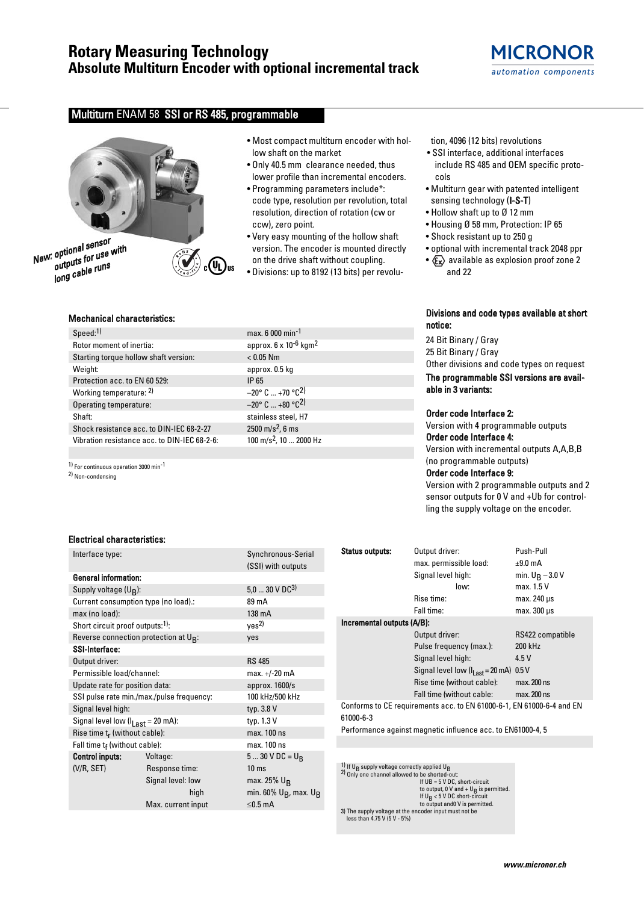

# Multiturn ENAM 58 SSI or RS 485, programmable



New: optional sensor outputs for use with long cable runs

- Most compact multiturn encoder with hollow shaft on the market
- Only 40.5 mm clearance needed, thus lower profile than incremental encoders.
- Programming parameters include\*: code type, resolution per revolution, total resolution, direction of rotation (cw or ccw), zero point.
- Very easy mounting of the hollow shaft version. The encoder is mounted directly on the drive shaft without coupling.
- Divisions: up to 8192 (13 bits) per revolu-

tion, 4096 (12 bits) revolutions

- SSI interface, additional interfaces include RS 485 and OEM specific protocols
- Multiturn gear with patented intelligent sensing technology (I-S-T)
- Hollow shaft up to Ø 12 mm
- Housing Ø 58 mm, Protection: IP 65
- Shock resistant up to 250 g
- optional with incremental track 2048 ppr
- $\langle \xi_{\mathbf{x}} \rangle$  available as explosion proof zone 2 and 22

#### Mechanical characteristics:

| Speed:1)                                     | max. 6 000 min <sup>-1</sup>                  |
|----------------------------------------------|-----------------------------------------------|
| Rotor moment of inertia:                     | approx. $6 \times 10^{-6}$ kgm <sup>2</sup>   |
| Starting torque hollow shaft version:        | $< 0.05$ Nm                                   |
| Weight:                                      | approx. 0.5 kg                                |
| Protection acc. to EN 60 529:                | IP 65                                         |
| Working temperature: 2)                      | $-20^{\circ}$ C $+70^{\circ}$ C <sup>2)</sup> |
| Operating temperature:                       | $-20^{\circ}$ C $+80^{\circ}$ C <sup>2)</sup> |
| Shaft:                                       | stainless steel, H7                           |
| Shock resistance acc. to DIN-IEC 68-2-27     | 2500 m/s <sup>2</sup> , 6 ms                  |
| Vibration resistance acc. to DIN-IEC 68-2-6: | 100 m/s <sup>2</sup> , 10  2000 Hz            |

1) For continuous operation 3000 min-1

2) Non-condensing

# Electrical characteristics:

| Interface type:                                  |                                           | Synchronous-Serial                            |  |  |  |  |
|--------------------------------------------------|-------------------------------------------|-----------------------------------------------|--|--|--|--|
|                                                  |                                           | (SSI) with outputs                            |  |  |  |  |
| <b>General information:</b>                      |                                           |                                               |  |  |  |  |
| Supply voltage $(U_R)$ :                         |                                           | $5,030 \text{ V } D\mathcal{C}^{3}$           |  |  |  |  |
| Current consumption type (no load).:             |                                           | 89 mA                                         |  |  |  |  |
| max (no load):                                   |                                           | 138 mA                                        |  |  |  |  |
| Short circuit proof outputs: <sup>1)</sup> :     |                                           | yes <sup>2)</sup>                             |  |  |  |  |
| Reverse connection protection at UR:             |                                           | yes                                           |  |  |  |  |
| <b>SSI-Interface:</b>                            |                                           |                                               |  |  |  |  |
| Output driver:                                   |                                           | <b>RS 485</b>                                 |  |  |  |  |
| Permissible load/channel:                        |                                           | max. +/-20 mA                                 |  |  |  |  |
| Update rate for position data:                   |                                           | approx. 1600/s                                |  |  |  |  |
|                                                  | SSI pulse rate min./max./pulse frequency: | 100 kHz/500 kHz                               |  |  |  |  |
| Signal level high:                               |                                           | typ. 3.8 V                                    |  |  |  |  |
| Signal level low ( $I1$ <sub>ast</sub> = 20 mA): |                                           | typ. 1.3 V                                    |  |  |  |  |
| Rise time $t_r$ (without cable):                 |                                           | max. 100 ns                                   |  |  |  |  |
| Fall time $t_f$ (without cable):                 |                                           | max. 100 ns                                   |  |  |  |  |
| <b>Control inputs:</b>                           | Voltage:                                  | 5  30 V DC = $U_R$                            |  |  |  |  |
| (V/R, SET)                                       | Response time:                            | 10 <sub>ms</sub>                              |  |  |  |  |
|                                                  | Signal level: low                         | max. 25% $U_R$                                |  |  |  |  |
|                                                  | high                                      | min. 60% U <sub>B</sub> , max. U <sub>B</sub> |  |  |  |  |
|                                                  | Max. current input                        | $\leq$ 0.5 mA                                 |  |  |  |  |
|                                                  |                                           |                                               |  |  |  |  |

| approx. $6 \times 10^{-6}$ kgm <sup>2</sup>     |
|-------------------------------------------------|
| $< 0.05$ Nm                                     |
| approx. 0.5 kg                                  |
| IP 65                                           |
| $-20^{\circ}$ C $+70^{\circ}$ C <sup>2)</sup>   |
| $-20^{\circ}$ C  +80 $^{\circ}$ C <sup>2)</sup> |
| stainless steel, H7                             |
| 2500 m/s <sup>2</sup> , 6 ms                    |
| 100 m/s <sup>2</sup> , 10  2000 Hz              |
|                                                 |

### Divisions and code types available at short notice:

24 Bit Binary / Gray 25 Bit Binary / Gray

Other divisions and code types on request The programmable SSI versions are avail-

#### Order code Interface 2:

able in 3 variants:

Version with 4 programmable outputs Order code Interface 4: Version with incremental outputs A,A,B,B (no programmable outputs) Order code Interface 9:

Version with 2 programmable outputs and 2 sensor outputs for 0 V and +Ub for controlling the supply voltage on the encoder.

| <b>Status outputs:</b>     | Output driver:<br>max. permissible load:<br>Signal level high:        | Push-Pull<br>$±9.0$ mA<br>min. $U_B - 3.0 V$ |
|----------------------------|-----------------------------------------------------------------------|----------------------------------------------|
|                            | low:                                                                  | max. 1.5 V                                   |
|                            | Rise time:                                                            | $max. 240 \,\mu s$                           |
|                            | Fall time:                                                            | $max.300 \,\mu s$                            |
| Incremental outputs (A/B): |                                                                       |                                              |
|                            | Output driver:                                                        | RS422 compatible                             |
|                            | Pulse frequency (max.):                                               | 200 kHz                                      |
|                            | Signal level high:                                                    | 4.5V                                         |
|                            | Signal level low $(l_{Last} = 20 \text{ mA})$ 0.5 V                   |                                              |
|                            | Rise time (without cable):                                            | $max.200$ ns                                 |
|                            | Fall time (without cable:                                             | max. 200 ns                                  |
| 61000-6-3                  | Conforms to CE requirements acc. to EN 61000-6-1, EN 61000-6-4 and EN |                                              |
|                            | Performance against magnetic influence acc. to EN61000-4, 5           |                                              |
|                            |                                                                       |                                              |

1) If U<sub>B</sub> supply voltage correctly applied U<sub>B</sub><br>2) Only one channel allowed to be shorted-out: If UB = 5 V DC, short-circuit<br>to output, 0 V and + U<sub>B</sub> is permitted.<br>If U<sub>B</sub> < 5 V DC short-circuit<br>to output and0 V is permitted. 3) The supply voltage at the encoder input must not be less than 4.75 V (5 V - 5%)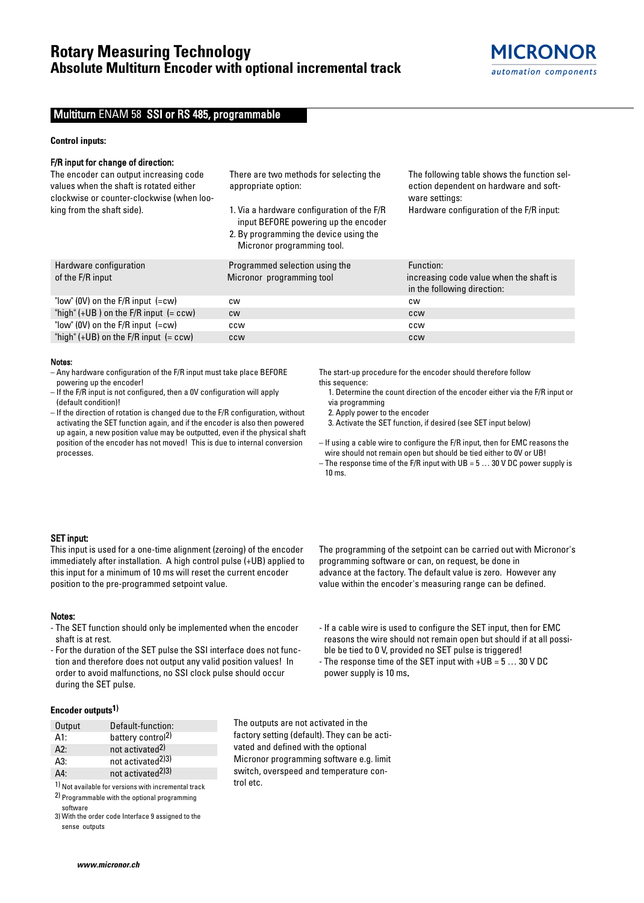# Multiturn ENAM 58 SSI or RS 485, programmable

### **Control inputs:**

# F/R input for change of direction:

The encoder can output increasing code values when the shaft is rotated either clockwise or counter-clockwise (when looking from the shaft side).

There are two methods for selecting the appropriate option:

- 1. Via a hardware configuration of the F/R input BEFORE powering up the encoder
- 2. By programming the device using the Micronor programming tool.

The following table shows the function selection dependent on hardware and software settings:

Hardware configuration of the F/R input:

| Hardware configuration                    | Programmed selection using the | Function:                               |
|-------------------------------------------|--------------------------------|-----------------------------------------|
| of the F/R input                          | Micronor programming tool      | increasing code value when the shaft is |
|                                           |                                | in the following direction:             |
| "low" (OV) on the $F/R$ input $(=cw)$     | <b>CW</b>                      | <b>CW</b>                               |
| "high" $(+UB)$ on the F/R input $(= ccw)$ | <b>CW</b>                      | <b>CCW</b>                              |
| "low" (OV) on the $F/R$ input $(=cw)$     | ccw                            | ccw                                     |
| "high" $(+UB)$ on the F/R input $(= ccw)$ | <b>CCW</b>                     | <b>CCW</b>                              |

#### Notes:

- Any hardware configuration of the F/R input must take place BEFORE powering up the encoder!
- If the F/R input is not configured, then a 0V configuration will apply (default condition)!
- If the direction of rotation is changed due to the F/R configuration, without activating the SET function again, and if the encoder is also then powered up again, a new position value may be outputted, even if the physical shaft position of the encoder has not moved! This is due to internal conversion processes.

The start-up procedure for the encoder should therefore follow this sequence:

- 1. Determine the count direction of the encoder either via the F/R input or via programming
- 2. Apply power to the encoder
- 3. Activate the SET function, if desired (see SET input below)

– If using a cable wire to configure the F/R input, then for EMC reasons the

wire should not remain open but should be tied either to 0V or UB! – The response time of the F/R input with  $UB = 5...30$  V DC power supply is 10 ms.

# SET input:

This input is used for a one-time alignment (zeroing) of the encoder immediately after installation. A high control pulse (+UB) applied to this input for a minimum of 10 ms will reset the current encoder position to the pre-programmed setpoint value.

#### Notes:

- The SET function should only be implemented when the encoder shaft is at rest.
- For the duration of the SET pulse the SSI interface does not function and therefore does not output any valid position values! In order to avoid malfunctions, no SSI clock pulse should occur during the SET pulse.

### **Encoder outputs1)**

| Output | Default-function:             |
|--------|-------------------------------|
| A1:    | battery control <sup>2)</sup> |
| A2:    | not activated <sup>2)</sup>   |
| A3:    | not activated <sup>2)3)</sup> |
| A4:    | not activated <sup>2)3)</sup> |

1) Not available for versions with incremental track 2) Programmable with the optional programming

software 3) With the order code Interface 9 assigned to the

sense outputs

The outputs are not activated in the factory setting (default). They can be activated and defined with the optional Micronor programming software e.g. limit switch, overspeed and temperature control etc.

The programming of the setpoint can be carried out with Micronor's programming software or can, on request, be done in advance at the factory. The default value is zero. However any value within the encoder's measuring range can be defined.

- If a cable wire is used to configure the SET input, then for EMC reasons the wire should not remain open but should if at all possible be tied to 0 V, provided no SET pulse is triggered! - The response time of the SET input with +UB = 5 … 30 V DC power supply is 10 ms.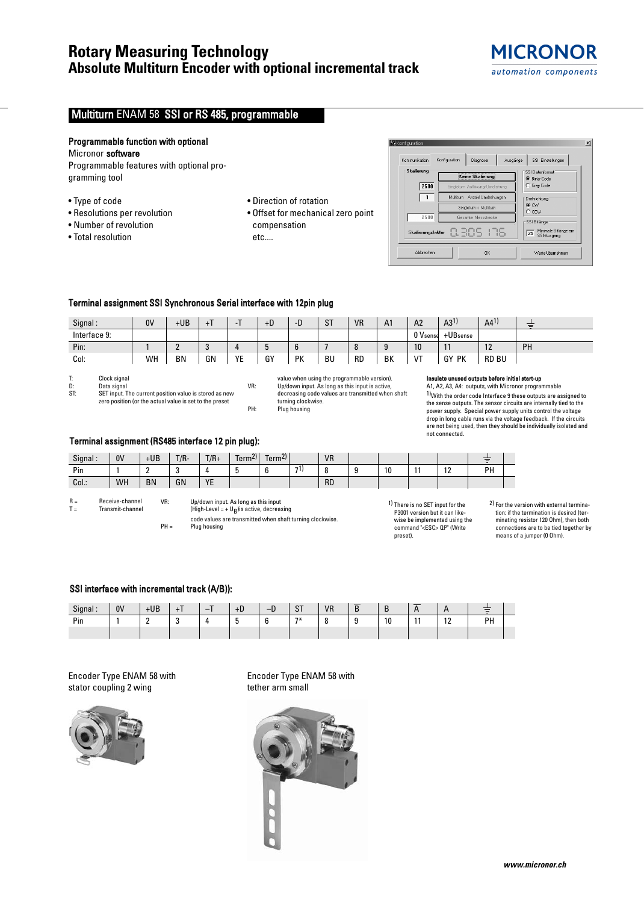# **Rotary Measuring Technology Absolute Multiturn Encoder with optional incremental track**

# Multiturn ENAM 58 SSI or RS 485, programmable

# Programmable function with optional

# Micronor software

Programmable features with optional programming tool

- Type of code
- Resolutions per revolution
- Number of revolution
- Total resolution
- Direction of rotation
- Offset for mechanical zero point compensation etc....



# Terminal assignment SSI Synchronous Serial interface with 12pin plug

| Signal:      | 0 <sup>V</sup> | $+UB$     | $+1$ | -  | $+b$   | - 1 | $n_{\rm T}$<br>০। | <b>VR</b> | A <sub>1</sub> | A <sub>2</sub> | A31                   | A4 <sup>1</sup>          | -<br>$\overbrace{\phantom{12332}}$ |
|--------------|----------------|-----------|------|----|--------|-----|-------------------|-----------|----------------|----------------|-----------------------|--------------------------|------------------------------------|
| Interface 9: |                |           |      |    |        |     |                   |           |                | 0 Vsense       | +UBsense              |                          |                                    |
| Pin:         |                |           |      |    | n<br>N | n   |                   |           |                | 10             | 1 <sup>2</sup><br>. . | 1 <sub>0</sub><br>$\sim$ | PH                                 |
| Col:         | Wh             | <b>BN</b> | GN   | YE | GY     | PK  | BU                | <b>RD</b> | BK             | VT             | GY<br>PK              | RD BU                    |                                    |

T: Clock signal<br>D: Data signal

value when using the programmable version). VR: Up/down input. As long as this input is active, decreasing code values are transmitted when shaft turning clockwise. PH: Plug housing

#### Insulate unused outputs before initial start-up A1, A2, A3, A4: outputs, with Micronor programmable

1)With the order code Interface 9 these outputs are assigned to the sense outputs. The sensor circuits are internally tied to the power supply. Special power supply units control the voltage drop in long cable runs via the voltage feedback. If the circuits are not being used, then they should be individually isolated and not connected.

# Terminal assignment (RS485 interface 12 pin plug):

| Signal: | 0V | $+UB$     | $T/R -$ | $T/R+$           | 211<br>-<br>Term <sup>z)</sup> | Term <sup>2)</sup><br>$\overline{\phantom{0}}$ |                 | <b>VR</b> |        |           | $\sim$ |  |
|---------|----|-----------|---------|------------------|--------------------------------|------------------------------------------------|-----------------|-----------|--------|-----------|--------|--|
| Pin     |    | -         |         |                  |                                |                                                | 71 <sub>1</sub> | $\Omega$  | 10<br> | 10<br>. . | PH     |  |
| Col.:   | WH | <b>BN</b> | GN      | <b>VE</b><br>. . |                                |                                                |                 | <b>RD</b> |        |           |        |  |

R = Receive-channel<br>T = Transmit-channel Transmit-channel

- PH = Plug housing
- VR: Up/down input. As long as this input (High-Level = + UB)is active, decreasing code values are transmitted when shaft turning clockwise.

1) There is no SET input for the P3001 version but it can likewise be implemented using the command "<ESC> QP" (Write preset).

2) For the version with external termination: if the termination is desired (terminating resistor 120 Ohm), then both connections are to be tied together by means of a jumper (0 Ohm).

# SSI interface with incremental track (A/B)):

| Signal: | 0V | $+UB$ | ÷<br>. . | +D | n<br>−ט    | $\sim$ T<br>ا ت | <b>VR</b> | $-$<br>D<br>D | ╺         | $\mathsf{A}$          | n.                   | $-$<br>Ξ |  |
|---------|----|-------|----------|----|------------|-----------------|-----------|---------------|-----------|-----------------------|----------------------|----------|--|
| Pin     |    | -     | c<br>u   | л. | $\sqrt{2}$ | $7*$            | c         |               | 10<br>1 U | $\overline{A}$<br>. . | $\overline{a}$<br>14 | PH       |  |
|         |    |       |          |    |            |                 |           |               |           |                       |                      |          |  |

Encoder Type ENAM 58 with stator coupling 2 wing



Encoder Type ENAM 58 with tether arm small



D: Data signal<br>ST: SET input. 1 SET input. The current position value is stored as new zero position (or the actual value is set to the preset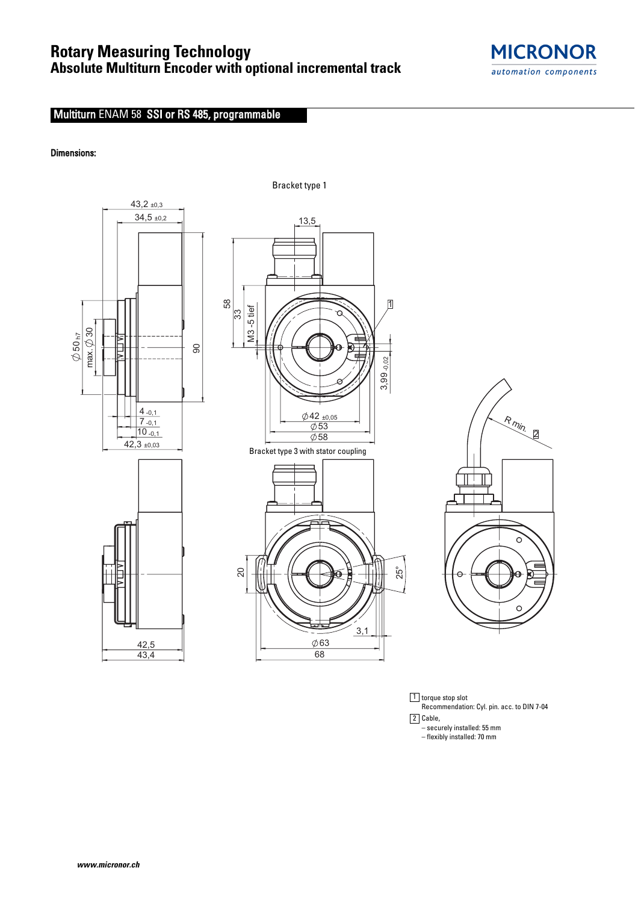# **Rotary Measuring Technology**

# **Absolute Multiturn Encoder with optional incremental track**



# Multiturn ENAM 58 SSI or RS 485, programmable

# Dimensions:





Bracket type 1



 $1$  torque stop slot Recommendation: Cyl. pin. acc. to DIN 7-04 2 | Cable, – securely installed: 55 mm – flexibly installed: 70 mm